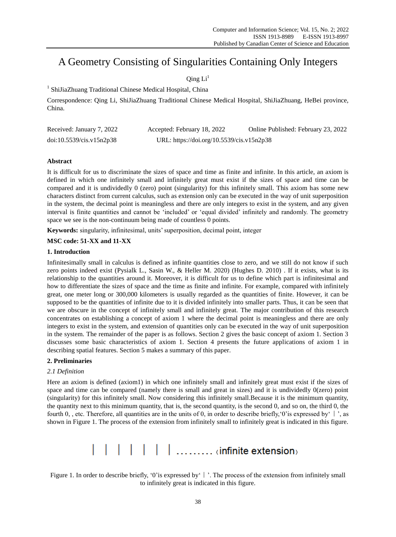## A Geometry Consisting of Singularities Containing Only Integers

### Oing  $Li<sup>1</sup>$

<sup>1</sup> ShiJiaZhuang Traditional Chinese Medical Hospital, China

Correspondence: Qing Li, ShiJiaZhuang Traditional Chinese Medical Hospital, ShiJiaZhuang, HeBei province, China.

| Received: January 7, 2022 | Accepted: February 18, 2022               | Online Published: February 23, 2022 |
|---------------------------|-------------------------------------------|-------------------------------------|
| doi:10.5539/cis.v15n2p38  | URL: https://doi.org/10.5539/cis.v15n2p38 |                                     |

#### **Abstract**

It is difficult for us to discriminate the sizes of space and time as finite and infinite. In this article, an axiom is defined in which one infinitely small and infinitely great must exist if the sizes of space and time can be compared and it is undividedly 0 (zero) point (singularity) for this infinitely small. This axiom has some new characters distinct from current calculus, such as extension only can be executed in the way of unit superposition in the system, the decimal point is meaningless and there are only integers to exist in the system, and any given interval is finite quantities and cannot be 'included' or 'equal divided' infinitely and randomly. The geometry space we see is the non-continuum being made of countless 0 points.

**Keywords:** singularity, infinitesimal, units' superposition, decimal point, integer

#### **MSC code: 51-XX and 11-XX**

#### **1. Introduction**

Infinitesimally small in calculus is defined as infinite quantities close to zero, and we still do not know if such zero points indeed exist (Pysialk L., Sasin W., & Heller M. 2020) (Hughes D. 2010) . If it exists, what is its relationship to the quantities around it. Moreover, it is difficult for us to define which part is infinitesimal and how to differentiate the sizes of space and the time as finite and infinite. For example, compared with infinitely great, one meter long or 300,000 kilometers is usually regarded as the quantities of finite. However, it can be supposed to be the quantities of infinite due to it is divided infinitely into smaller parts. Thus, it can be seen that we are obscure in the concept of infinitely small and infinitely great. The major contribution of this research concentrates on establishing a concept of axiom 1 where the decimal point is meaningless and there are only integers to exist in the system, and extension of quantities only can be executed in the way of unit superposition in the system. The remainder of the paper is as follows. Section 2 gives the basic concept of axiom 1. Section 3 discusses some basic characteristics of axiom 1. Section 4 presents the future applications of axiom 1 in describing spatial features. Section 5 makes a summary of this paper.

#### **2. Preliminaries**

#### *2.1 Definition*

Here an axiom is defined (axiom1) in which one infinitely small and infinitely great must exist if the sizes of space and time can be compared (namely there is small and great in sizes) and it is undividedly 0(zero) point (singularity) for this infinitely small. Now considering this infinitely small.Because it is the minimum quantity, the quantity next to this minimum quantity, that is, the second quantity, is the second 0, and so on, the third 0, the fourth 0, , etc. Therefore, all quantities are in the units of 0, in order to describe briefly, '0' is expressed by' | ', as shown in Figure 1. The process of the extension from infinitely small to infinitely great is indicated in this figure.

# | | | | | | | | ......... (infinite extension)

Figure 1. In order to describe briefly, '0' is expressed by '| '. The process of the extension from infinitely small to infinitely great is indicated in this figure.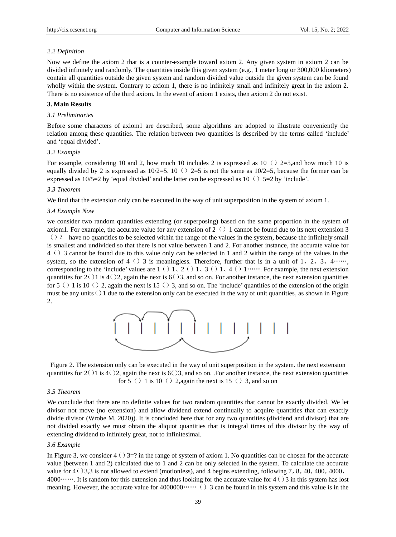#### *2.2 Definition*

Now we define the axiom 2 that is a counter-example toward axiom 2. Any given system in axiom 2 can be divided infinitely and randomly. The quantities inside this given system (e.g., 1 meter long or 300,000 kliometers) contain all quantities outside the given system and random divided value outside the given system can be found wholly within the system. Contrary to axiom 1, there is no infinitely small and infinitely great in the axiom 2. There is no existence of the third axiom. In the event of axiom 1 exists, then axiom 2 do not exist.

#### **3. Main Results**

#### *3.1 Preliminaries*

Before some characters of axiom1 are described, some algorithms are adopted to illustrate conveniently the relation among these quantities. The relation between two quantities is described by the terms called 'include' and 'equal divided'.

#### *3.2 Example*

For example, considering 10 and 2, how much 10 includes 2 is expressed as 10 () 2=5,and how much 10 is equally divided by 2 is expressed as  $10/2=5$ . 10 () 2=5 is not the same as  $10/2=5$ , because the former can be expressed as  $10/5=2$  by 'equal divided' and the latter can be expressed as  $10()5=2$  by 'include'.

#### *3.3 Theorem*

We find that the extension only can be executed in the way of unit superposition in the system of axiom 1.

#### *3.4 Example Now*

we consider two random quantities extending (or superposing) based on the same proportion in the system of axiom1. For example, the accurate value for any extension of  $2(\cdot)1$  cannot be found due to its next extension 3  $\langle \rangle$  ? have no quantities to be selected within the range of the values in the system, because the infinitely small is smallest and undivided so that there is not value between 1 and 2. For another instance, the accurate value for 4()3 cannot be found due to this value only can be selected in 1 and 2 within the range of the values in the system, so the extension of 4 () 3 is meaningless. Therefore, further that is in a unit of 1, 2, 3, 4……, corresponding to the 'include' values are  $1 \left( \frac{1}{2}, \frac{2}{1}, \frac{3}{1}, \frac{1}{4} \left( \frac{1}{2}, \frac{1}{2}, \frac{1}{2}, \frac{1}{2} \left( \frac{1}{2}, \frac{1}{2}, \frac{1}{2}, \frac{1}{2} \left( \frac{1}{2}, \frac{1}{2}, \frac{1}{2}, \frac{1}{2} \left( \frac{1}{2}, \frac{1}{2}, \frac{1}{2} \left( \frac{1}{2}, \frac{1}{2}, \frac{1}{2} \left( \frac$ quantities for  $2(1)$  is  $4(2)$ , again the next is  $6(3)$ , and so on. For another instance, the next extension quantities for  $5()1$  is  $10()2$ , again the next is  $15()3$ , and so on. The 'include' quantities of the extension of the origin must be any units  $()1$  due to the extension only can be executed in the way of unit quantities, as shown in Figure 2.



Figure 2. The extension only can be executed in the way of unit superposition in the system. the next extension quantities for  $2(1)$  is  $4(2)$ , again the next is  $6(2)$ , and so on. .For another instance, the next extension quantities for 5 () 1 is 10 () 2,again the next is 15 () 3, and so on

#### *3.5 Theorem*

We conclude that there are no definite values for two random quantities that cannot be exactly divided. We let divisor not move (no extension) and allow dividend extend continually to acquire quantities that can exactly divide divisor (Wrobe M. 2020)). It is concluded here that for any two quantities (dividend and divisor) that are not divided exactly we must obtain the aliquot quantities that is integral times of this divisor by the way of extending dividend to infinitely great, not to infinitesimal.

#### *3.6 Example*

In Figure 3, we consider  $4()3=$ ? in the range of system of axiom 1. No quantities can be chosen for the accurate value (between 1 and 2) calculated due to 1 and 2 can be only selected in the system. To calculate the accurate value for  $4 \binom{3}{3}$  is not allowed to extend (motionless), and 4 begins extending, following 7, 8,40,400,4000, 4000……. It is random for this extension and thus looking for the accurate value for  $4 \dot{\odot} 3$  in this system has lost meaning. However, the accurate value for 4000000……() 3 can be found in this system and this value is in the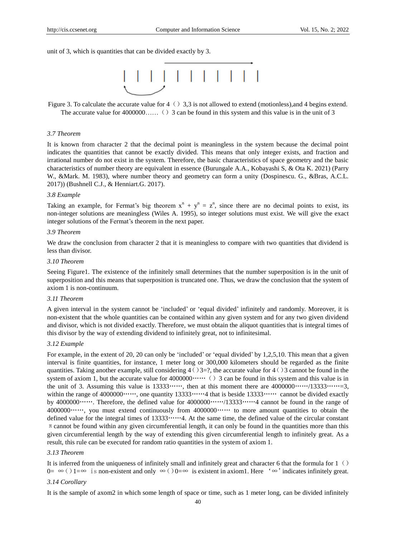unit of 3, which is quantities that can be divided exactly by 3.



Figure 3. To calculate the accurate value for  $4()3,3$  is not allowed to extend (motionless),and 4 begins extend. The accurate value for  $4000000$ ……() 3 can be found in this system and this value is in the unit of 3

#### *3.7 Theorem*

It is known from character 2 that the decimal point is meaningless in the system because the decimal point indicates the quantities that cannot be exactly divided. This means that only integer exists, and fraction and irrational number do not exist in the system. Therefore, the basic characteristics of space geometry and the basic characteristics of number theory are equivalent in essence (Burungale A.A., Kobayashi S, & Ota K. 2021) (Parry W., &Mark. M. 1983), where number theory and geometry can form a unity (Dospinescu. G., &Bras, A.C.L. 2017)) (Bushnell C.J., & Henniart.G. 2017).

#### *3.8 Example*

Taking an example, for Fermat's big theorem  $x^n + y^n = z^n$ , since there are no decimal points to exist, its non-integer solutions are meaningless (Wiles A. 1995), so integer solutions must exist. We will give the exact integer solutions of the Fermat's theorem in the next paper.

#### *3.9 Theorem*

We draw the conclusion from character 2 that it is meaningless to compare with two quantities that dividend is less than divisor.

#### *3.10 Theorem*

Seeing Figure1. The existence of the infinitely small determines that the number superposition is in the unit of superposition and this means that superposition is truncated one. Thus, we draw the conclusion that the system of axiom 1 is non-continuum.

#### *3.11 Theorem*

A given interval in the system cannot be 'included' or 'equal divided' infinitely and randomly. Moreover, it is non-existent that the whole quantities can be contained within any given system and for any two given dividend and divisor, which is not divided exactly. Therefore, we must obtain the aliquot quantities that is integral times of this divisor by the way of extending dividend to infinitely great, not to infinitesimal.

#### *3.12 Example*

For example, in the extent of 20, 20 can only be 'included' or 'equal divided' by 1,2,5,10. This mean that a given interval is finite quantities, for instance, 1 meter long or 300,000 kilometers should be regarded as the finite quantities. Taking another example, still considering  $4()3=$ ?, the accurate value for  $4()3$  cannot be found in the system of axiom 1, but the accurate value for  $4000000 \cdots$  () 3 can be found in this system and this value is in the unit of 3. Assuming this value is  $13333\cdots$ ; then at this moment there are  $4000000\cdots/13333\cdots=3$ , within the range of 4000000……, one quantity 13333……4 that is beside 13333…… cannot be divided exactly by 4000000……. Therefore, the defined value for 4000000……/13333……4 cannot be found in the range of 4000000……, you must extend continuously from 4000000…… to more amount quantities to obtain the defined value for the integral times of 13333……4. At the same time, the defined value of the circular constant  $\pi$  cannot be found within any given circumferential length, it can only be found in the quantities more than this given circumferential length by the way of extending this given circumferential length to infinitely great. As a result, this rule can be executed for random ratio quantities in the system of axiom 1.

#### *3.13 Theorem*

It is inferred from the uniqueness of infinitely small and infinitely great and character 6 that the formula for  $1(\cdot)$ 0= ∞ ()1=∞ is non-existent and only ∞ ()0=∞ is existent in axiom1. Here '∞' indicates infinitely great.

#### *3.14 Corollary*

It is the sample of axom2 in which some length of space or time, such as 1 meter long, can be divided infinitely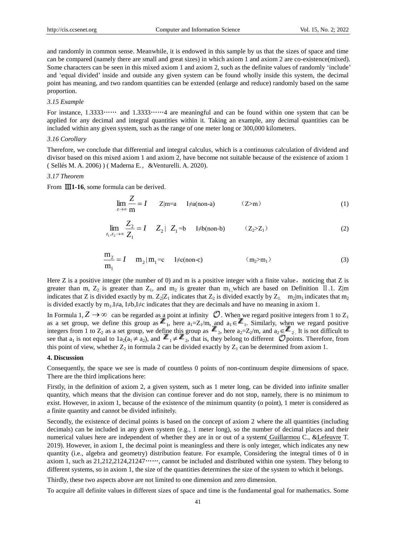and randomly in common sense. Meanwhile, it is endowed in this sample by us that the sizes of space and time can be compared (namely there are small and great sizes) in which axiom 1 and axiom 2 are co-existence(mixed). Some characters can be seen in this mixed axiom 1 and axiom 2, such as the definite values of randomly 'include' and 'equal divided' inside and outside any given system can be found wholly inside this system, the decimal point has meaning, and two random quantities can be extended (enlarge and reduce) randomly based on the same proportion.

#### *3.15 Example*

For instance, 1.3333…… and 1.3333……4 are meaningful and can be found within one system that can be applied for any decimal and integral quantities within it. Taking an example, any decimal quantities can be included within any given system, such as the range of one meter long or 300,000 kilometers.

#### *3.16 Corollary*

Therefore, we conclude that differential and integral calculus, which is a continuous calculation of dividend and divisor based on this mixed axiom 1 and axiom 2, have become not suitable because of the existence of axiom 1 ( [Sellés](https://www.sciencedirect.com/science/article/pii/S0315086005000443#!) M. A. 2006) ) ( [Maderna](https://xueshu.baidu.com/s?wd=author:(Ezequiel%20Maderna)%20&tn=SE_baiduxueshu_c1gjeupa&ie=utf-8&sc_f_para=sc_hilight=person) E.,[&Venturelli.](https://xueshu.baidu.com/s?wd=author:(Andrea%20Venturelli)%20&tn=SE_baiduxueshu_c1gjeupa&ie=utf-8&sc_f_para=sc_hilight=person) A. 2020).

#### *3.17 Theorem*

From Ⅲ**1-16**, some formula can be derived.

$$
\lim_{z \to \infty} \frac{Z}{m} = I \qquad Z|m=a \qquad I \neq a(non-a) \tag{2>m}
$$

$$
\lim_{z_1, z_2 \to \infty} \frac{Z_2}{Z_1} = I \quad Z_2 \mid Z_1 = b \quad \text{I} \neq b(\text{non-b}) \quad (Z_2 > Z_1) \tag{2}
$$

$$
\frac{m_2}{m_1} = I \t m_2 | m_1 = c \t I \neq c(\text{non-c}) \t (m_2 > m_1)
$$
\n(3)

Here  $Z$  is a positive integer (the number of 0) and m is a positive integer with a finite value, noticing that  $Z$  is greater than m,  $Z_2$  is greater than  $Z_1$ , and  $m_2$  is greater than m<sub>1</sub>,which are based on Definition II.1. Z|m indicates that Z is divided exactly by m.  $Z_2|Z_1$  indicates that  $Z_2$  is divided exactly by  $Z_1$ . m<sub>2</sub>|m<sub>1</sub> indicates that m<sub>2</sub> is divided exactly by  $m_1.I \neq a, I \neq b, I \neq c$  indicates that they are decimals and have no meaning in axiom 1.

In Formula 1,  $Z \to \infty$  can be regarded as a point at infinity  $\mathcal O$ . When we regard positive integers from 1 to  $Z_1$ as a set group, we define this group as  $\mathbb{Z}_1$ , here  $a_1 = Z_1/m$ , and  $a_1 \in \mathbb{Z}_1$ . Similarly, when we regard positive integers from 1 to  $Z_2$  as a set group, we define this group as  $\mathbb{Z}_2$ , here  $a_2=Z_2/m$ , and  $a_2\in\mathbb{Z}_2$ . It is not difficult to see that  $a_1$  is not equal to  $1a_2(a_1 \neq a_2)$ , and  $\mathbb{Z}_1 \neq \mathbb{Z}_2$ , that is, they belong to different  $\mathcal O$  points. Therefore, from this point of view, whether  $Z_2$  in formula 2 can be divided exactly by  $Z_1$  can be determined from axiom 1.

#### **4. Discussion**

Consequently, the space we see is made of countless 0 points of non-continuum despite dimensions of space. There are the third implications here:

Firstly, in the definition of axiom 2, a given system, such as 1 meter long, can be divided into infinite smaller quantity, which means that the division can continue forever and do not stop, namely, there is no minimum to exist. However, in axiom 1, because of the existence of the minimum quantity (o point), 1 meter is considered as a finite quantity and cannot be divided infinitely.

Secondly, the existence of decimal points is based on the concept of axiom 2 where the all quantities (including decimals) can be included in any given system (e.g., 1 meter long), so the number of decimal places and their numerical values here are independent of whether they are in or out of a system( [Guillarmou](https://xueshu.baidu.com/s?wd=author:(C%20Guillarmou)%20&tn=SE_baiduxueshu_c1gjeupa&ie=utf-8&sc_f_para=sc_hilight=person) C., [&Lefeuvre](https://xueshu.baidu.com/s?wd=author:(T%20Lefeuvre)%20&tn=SE_baiduxueshu_c1gjeupa&ie=utf-8&sc_f_para=sc_hilight=person) T. 2019). However, in axiom 1, the decimal point is meaningless and there is only integer, which indicates any new quantity (i.e., algebra and geometry) distribution feature. For example, Considering the integral times of 0 in axiom 1, such as 21,212,2124,21247……, cannot be included and distributed within one system. They belong to different systems, so in axiom 1, the size of the quantities determines the size of the system to which it belongs.

Thirdly, these two aspects above are not limited to one dimension and zero dimension.

To acquire all definite values in different sizes of space and time is the fundamental goal for mathematics. Some